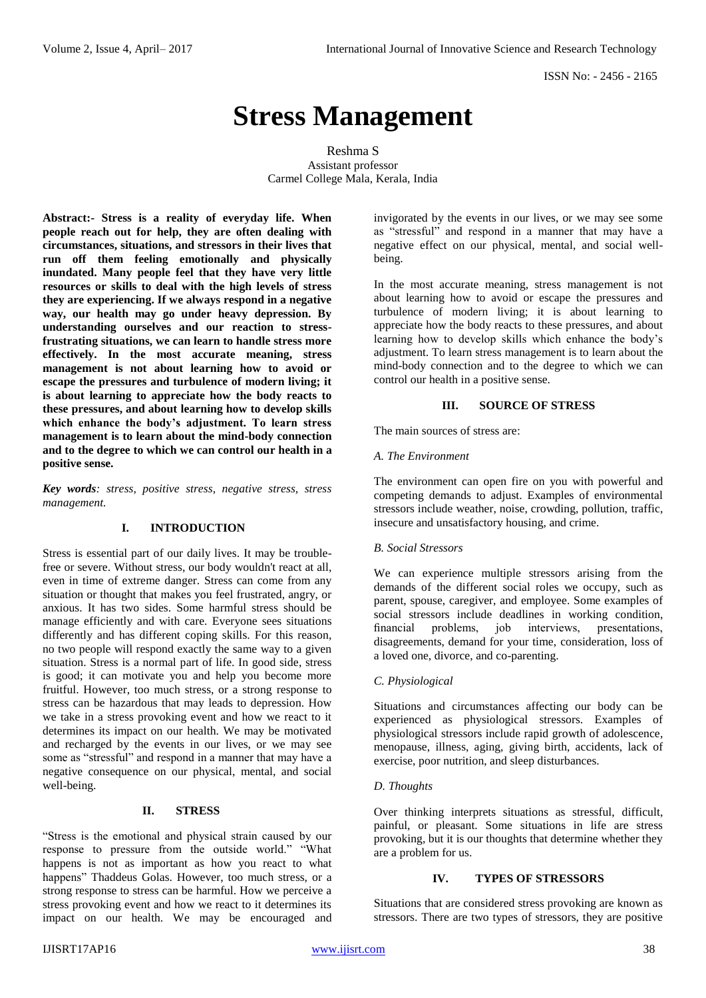# **Stress Management**

Reshma S Assistant professor Carmel College Mala, Kerala, India

**Abstract:- Stress is a reality of everyday life. When people reach out for help, they are often dealing with circumstances, situations, and stressors in their lives that run off them feeling emotionally and physically inundated. Many people feel that they have very little resources or skills to deal with the high levels of stress they are experiencing. If we always respond in a negative way, our health may go under heavy depression. By understanding ourselves and our reaction to stressfrustrating situations, we can learn to handle stress more effectively. In the most accurate meaning, stress management is not about learning how to avoid or escape the pressures and turbulence of modern living; it is about learning to appreciate how the body reacts to these pressures, and about learning how to develop skills which enhance the body's adjustment. To learn stress management is to learn about the mind-body connection and to the degree to which we can control our health in a positive sense.**

*Key words: stress, positive stress, negative stress, stress management.*

## **I. INTRODUCTION**

Stress is essential part of our daily lives. It may be troublefree or severe. Without stress, our body wouldn't react at all, even in time of extreme danger. Stress can come from any situation or thought that makes you feel frustrated, angry, or anxious. It has two sides. Some harmful stress should be manage efficiently and with care. Everyone sees situations differently and has different coping skills. For this reason, no two people will respond exactly the same way to a given situation. Stress is a normal part of life. In good side, stress is good; it can motivate you and help you become more fruitful. However, too much stress, or a strong response to stress can be hazardous that may leads to depression. How we take in a stress provoking event and how we react to it determines its impact on our health. We may be motivated and recharged by the events in our lives, or we may see some as "stressful" and respond in a manner that may have a negative consequence on our physical, mental, and social well-being.

### **II. STRESS**

"Stress is the emotional and physical strain caused by our response to pressure from the outside world." "What happens is not as important as how you react to what happens" Thaddeus Golas. However, too much stress, or a strong response to stress can be harmful. How we perceive a stress provoking event and how we react to it determines its impact on our health. We may be encouraged and invigorated by the events in our lives, or we may see some as "stressful" and respond in a manner that may have a negative effect on our physical, mental, and social wellbeing.

In the most accurate meaning, stress management is not about learning how to avoid or escape the pressures and turbulence of modern living; it is about learning to appreciate how the body reacts to these pressures, and about learning how to develop skills which enhance the body's adjustment. To learn stress management is to learn about the mind-body connection and to the degree to which we can control our health in a positive sense.

#### **III. SOURCE OF STRESS**

The main sources of stress are:

#### *A. The Environment*

The environment can open fire on you with powerful and competing demands to adjust. Examples of environmental stressors include weather, noise, crowding, pollution, traffic, insecure and unsatisfactory housing, and crime.

#### *B. Social Stressors*

We can experience multiple stressors arising from the demands of the different social roles we occupy, such as parent, spouse, caregiver, and employee. Some examples of social stressors include deadlines in working condition, financial problems, job interviews, presentations, disagreements, demand for your time, consideration, loss of a loved one, divorce, and co-parenting.

#### *C. Physiological*

Situations and circumstances affecting our body can be experienced as physiological stressors. Examples of physiological stressors include rapid growth of adolescence, menopause, illness, aging, giving birth, accidents, lack of exercise, poor nutrition, and sleep disturbances.

#### *D. Thoughts*

Over thinking interprets situations as stressful, difficult, painful, or pleasant. Some situations in life are stress provoking, but it is our thoughts that determine whether they are a problem for us.

#### **IV. TYPES OF STRESSORS**

Situations that are considered stress provoking are known as stressors. There are two types of stressors, they are positive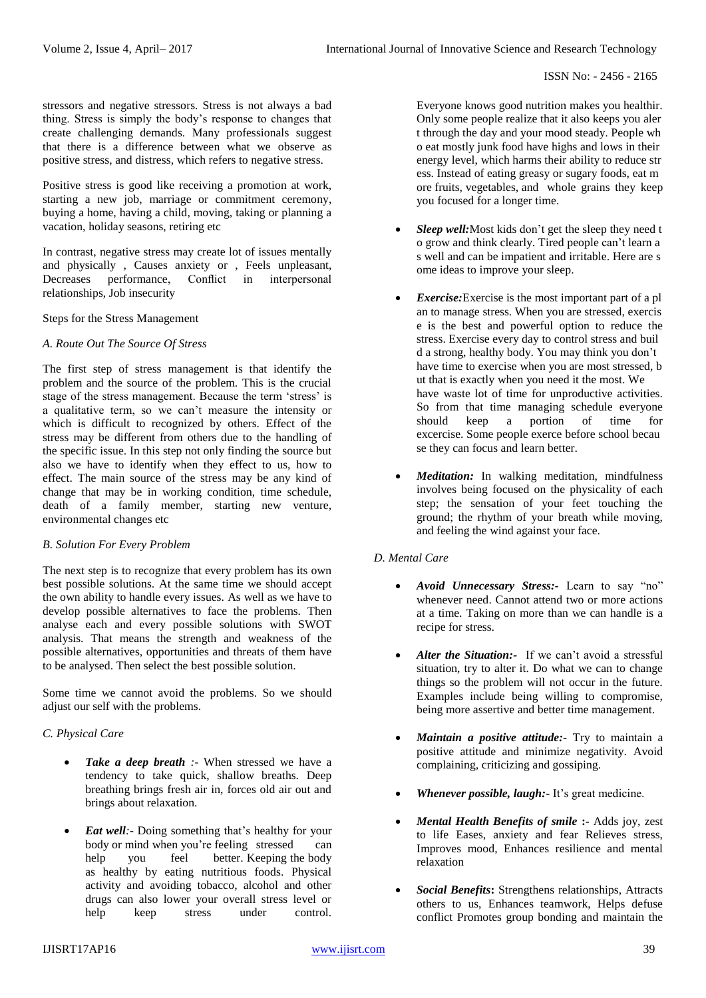stressors and negative stressors. Stress is not always a bad thing. Stress is simply the body's response to changes that create challenging demands. Many professionals suggest that there is a difference between what we observe as positive stress, and distress, which refers to negative stress.

Positive stress is good like receiving a promotion at work, starting a new job, marriage or commitment ceremony, buying a home, having a child, moving, taking or planning a vacation, holiday seasons, retiring etc

In contrast, negative stress may create lot of issues mentally and physically , Causes anxiety or , Feels unpleasant, Decreases performance, Conflict in interpersonal relationships, Job insecurity

Steps for the Stress Management

## *A. Route Out The Source Of Stress*

The first step of stress management is that identify the problem and the source of the problem. This is the crucial stage of the stress management. Because the term 'stress' is a qualitative term, so we can't measure the intensity or which is difficult to recognized by others. Effect of the stress may be different from others due to the handling of the specific issue. In this step not only finding the source but also we have to identify when they effect to us, how to effect. The main source of the stress may be any kind of change that may be in working condition, time schedule, death of a family member, starting new venture, environmental changes etc

## *B. Solution For Every Problem*

The next step is to recognize that every problem has its own best possible solutions. At the same time we should accept the own ability to handle every issues. As well as we have to develop possible alternatives to face the problems. Then analyse each and every possible solutions with SWOT analysis. That means the strength and weakness of the possible alternatives, opportunities and threats of them have to be analysed. Then select the best possible solution.

Some time we cannot avoid the problems. So we should adjust our self with the problems.

## *C. Physical Care*

- *Take a deep breath :-* When stressed we have a tendency to take quick, shallow breaths. Deep breathing brings fresh air in, forces old air out and brings about relaxation.
- *Eat well*:- Doing something that's healthy for your body or mind when you're feeling stressed can help you feel better. Keeping the body as healthy by eating nutritious foods. Physical activity and avoiding tobacco, alcohol and other drugs can also lower your overall stress level or help keep stress under control.

Everyone knows good nutrition makes you healthir. Only some people realize that it also keeps you aler t through the day and your mood steady. People wh o eat mostly junk food have highs and lows in their energy level, which harms their ability to reduce str ess. Instead of eating greasy or sugary foods, eat m ore fruits, vegetables, and whole grains they keep you focused for a longer time.

- *Sleep well:*Most kids don't get the sleep they need t o grow and think clearly. Tired people can't learn a s well and can be impatient and irritable. Here are s ome ideas to improve your sleep.
- *Exercise:*Exercise is the most important part of a pl an to manage stress. When you are stressed, exercis e is the best and powerful option to reduce the stress. Exercise every day to control stress and buil d a strong, healthy body. You may think you don't have time to exercise when you are most stressed, b ut that is exactly when you need it the most. We have waste lot of time for unproductive activities. So from that time managing schedule everyone should keep a portion of time for excercise. Some people exerce before school becau se they can focus and learn better.
- *Meditation:* In walking meditation, mindfulness involves being focused on the physicality of each step; the sensation of your feet touching the ground; the rhythm of your breath while moving, and feeling the wind against your face.

## *D. Mental Care*

- *Avoid Unnecessary Stress:-* Learn to say "no" whenever need. Cannot attend two or more actions at a time. Taking on more than we can handle is a recipe for stress.
- *Alter the Situation:-* If we can't avoid a stressful situation, try to alter it. Do what we can to change things so the problem will not occur in the future. Examples include being willing to compromise, being more assertive and better time management.
- *Maintain a positive attitude:-* Try to maintain a positive attitude and minimize negativity. Avoid complaining, criticizing and gossiping.
- *Whenever possible, laugh:-* It's great medicine.
- *Mental Health Benefits of smile* **:-** Adds joy, zest to life Eases, anxiety and fear Relieves stress, Improves mood, Enhances resilience and mental relaxation
- *Social Benefits***:** Strengthens relationships, Attracts others to us, Enhances teamwork, Helps defuse conflict Promotes group bonding and maintain the